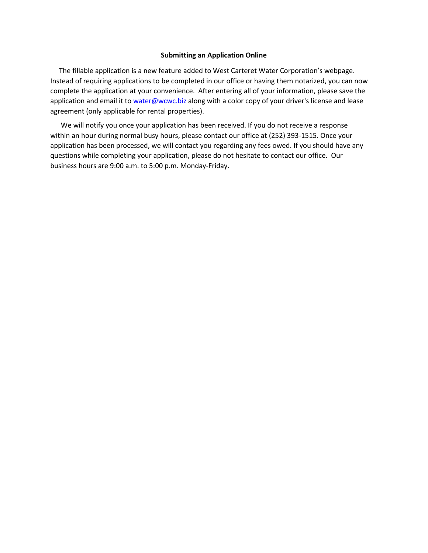## **Submitting an Application Online**

 The fillable application is a new feature added to West Carteret Water Corporation's webpage. Instead of requiring applications to be completed in our office or having them notarized, you can now complete the application at your convenience. After entering all of your information, please save the application and email it to water@wcwc.biz along with a color copy of your driver's license and lease agreement (only applicable for rental properties).

 We will notify you once your application has been received. If you do not receive a response within an hour during normal busy hours, please contact our office at (252) 393-1515. Once your application has been processed, we will contact you regarding any fees owed. If you should have any questions while completing your application, please do not hesitate to contact our office. Our business hours are 9:00 a.m. to 5:00 p.m. Monday-Friday.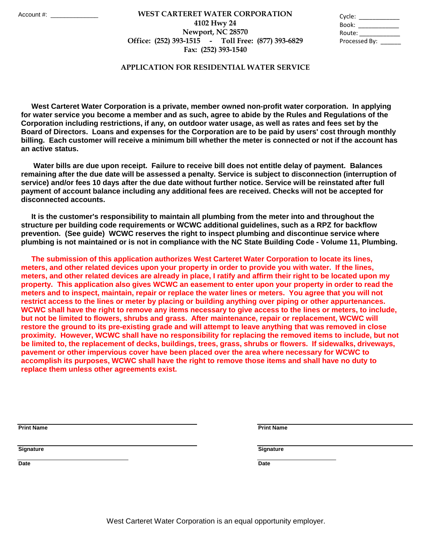## **Fax: (252) 393-1540 WEST CARTERET WATER CORPORATION** Account #: \_\_\_\_\_\_\_\_\_\_\_\_\_\_ Cycle: \_\_\_\_\_\_\_\_\_\_\_\_ **4102 Hwy 24 Newport, NC 28570 Office: (252) 393-1515 - Toll Free: (877) 393-6829**

| Cycle:        |  |
|---------------|--|
| Book:         |  |
| Route:        |  |
| Processed By: |  |

## **APPLICATION FOR RESIDENTIAL WATER SERVICE**

 **West Carteret Water Corporation is a private, member owned non-profit water corporation. In applying for water service you become a member and as such, agree to abide by the Rules and Regulations of the Corporation including restrictions, if any, on outdoor water usage, as well as rates and fees set by the Board of Directors. Loans and expenses for the Corporation are to be paid by users' cost through monthly billing. Each customer will receive a minimum bill whether the meter is connected or not if the account has an active status.** 

 **Water bills are due upon receipt. Failure to receive bill does not entitle delay of payment. Balances remaining after the due date will be assessed a penalty. Service is subject to disconnection (interruption of service) and/or fees 10 days after the due date without further notice. Service will be reinstated after full payment of account balance including any additional fees are received. Checks will not be accepted for disconnected accounts.** 

 **It is the customer's responsibility to maintain all plumbing from the meter into and throughout the structure per building code requirements or WCWC additional guidelines, such as a RPZ for backflow prevention. (See guide) WCWC reserves the right to inspect plumbing and discontinue service where plumbing is not maintained or is not in compliance with the NC State Building Code - Volume 11, Plumbing.** 

 **The submission of this application authorizes West Carteret Water Corporation to locate its lines, meters, and other related devices upon your property in order to provide you with water. If the lines, meters, and other related devices are already in place, I ratify and affirm their right to be located upon my property. This application also gives WCWC an easement to enter upon your property in order to read the meters and to inspect, maintain, repair or replace the water lines or meters. You agree that you will not restrict access to the lines or meter by placing or building anything over piping or other appurtenances. WCWC shall have the right to remove any items necessary to give access to the lines or meters, to include, but not be limited to flowers, shrubs and grass. After maintenance, repair or replacement, WCWC will restore the ground to its pre-existing grade and will attempt to leave anything that was removed in close proximity. However, WCWC shall have no responsibility for replacing the removed items to include, but not be limited to, the replacement of decks, buildings, trees, grass, shrubs or flowers. If sidewalks, driveways, pavement or other impervious cover have been placed over the area where necessary for WCWC to accomplish its purposes, WCWC shall have the right to remove those items and shall have no duty to replace them unless other agreements exist.** 

**Print Name Print Name**

**Signature Signature**

**Date Date**